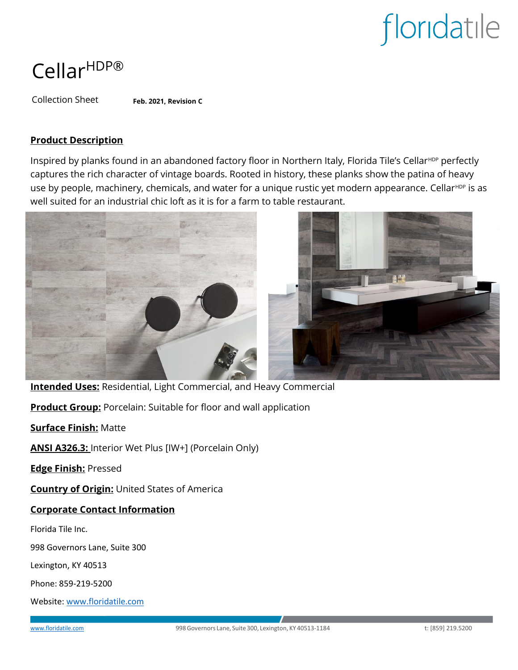### CellarHDP®

Collection Sheet **Feb. 2021, Revision C**

### **Product Description**

Inspired by planks found in an abandoned factory floor in Northern Italy, Florida Tile's Cellar<sup>HDP</sup> perfectly captures the rich character of vintage boards. Rooted in history, these planks show the patina of heavy use by people, machinery, chemicals, and water for a unique rustic yet modern appearance. Cellar<sup>HDP</sup> is as well suited for an industrial chic loft as it is for a farm to table restaurant.





**Intended Uses:** Residential, Light Commercial, and Heavy Commercial

**Product Group:** Porcelain: Suitable for floor and wall application

**Surface Finish:** Matte

**ANSI A326.3:** Interior Wet Plus [IW+] (Porcelain Only)

**Edge Finish:** Pressed

**Country of Origin:** United States of America

### **Corporate Contact Information**

Florida Tile Inc.

998 Governors Lane, Suite 300

Lexington, KY 40513

Phone: 859-219-5200

Website[: www.floridatile.com](file:///C:/Users/oudehm/Library/Containers/com.microsoft.Word/Data/Desktop/www.floridatile.com)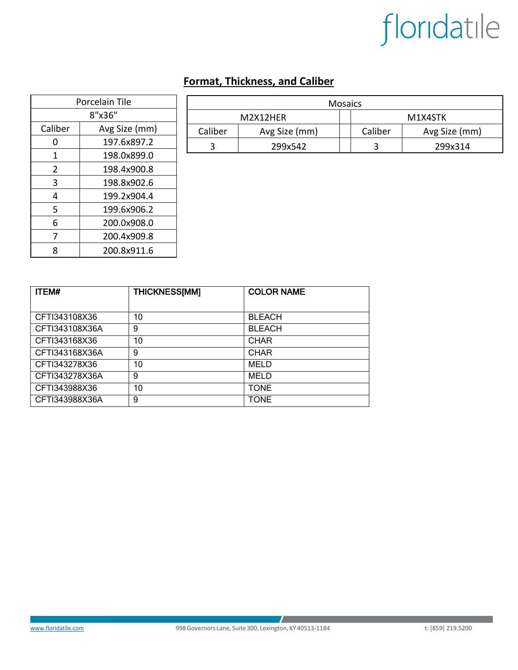### **Format, Thickness, and Caliber**

| Porcelain Tile |               |  |  |  |
|----------------|---------------|--|--|--|
| 8"x36"         |               |  |  |  |
| Caliber        | Avg Size (mm) |  |  |  |
| O              | 197.6x897.2   |  |  |  |
| 1              | 198.0x899.0   |  |  |  |
| $\overline{2}$ | 198.4x900.8   |  |  |  |
| 3              | 198.8x902.6   |  |  |  |
| 4              | 199.2x904.4   |  |  |  |
| 5              | 199.6x906.2   |  |  |  |
| 6              | 200.0x908.0   |  |  |  |
| 7              | 200.4x909.8   |  |  |  |
| 8              | 200.8x911.6   |  |  |  |

| <b>Mosaics</b> |               |  |         |               |  |  |
|----------------|---------------|--|---------|---------------|--|--|
| M2X12HFR       |               |  | M1X4STK |               |  |  |
| Caliber        | Avg Size (mm) |  | Caliber | Avg Size (mm) |  |  |
|                | 299x542       |  |         | 299x314       |  |  |

| <b>ITEM#</b>   | <b>THICKNESS[MM]</b> | <b>COLOR NAME</b> |
|----------------|----------------------|-------------------|
|                |                      |                   |
| CFTI343108X36  | 10                   | <b>BLEACH</b>     |
| CFTI343108X36A | 9                    | <b>BLEACH</b>     |
| CFTI343168X36  | 10                   | <b>CHAR</b>       |
| CFTI343168X36A | 9                    | <b>CHAR</b>       |
| CFTI343278X36  | 10                   | <b>MELD</b>       |
| CFTI343278X36A | 9                    | <b>MELD</b>       |
| CFTI343988X36  | 10                   | <b>TONE</b>       |
| CFTI343988X36A | 9                    | <b>TONE</b>       |

 $\mathcal{L}$  . The same  $\mathcal{L}$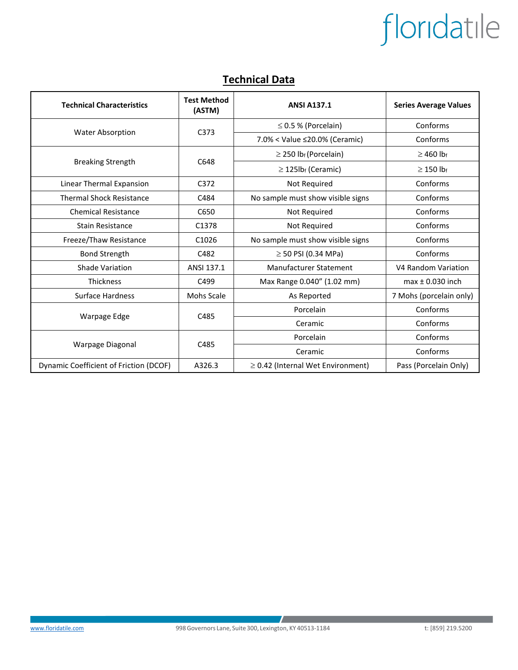### **Technical Data**

| <b>Technical Characteristics</b>       | <b>Test Method</b><br>(ASTM) | <b>ANSI A137.1</b>                     | <b>Series Average Values</b> |
|----------------------------------------|------------------------------|----------------------------------------|------------------------------|
| <b>Water Absorption</b>                | C <sub>373</sub>             | $\leq$ 0.5 % (Porcelain)               | Conforms                     |
|                                        |                              | 7.0% < Value ≤20.0% (Ceramic)          | Conforms                     |
| <b>Breaking Strength</b>               | C648                         | $\geq$ 250 lb <sub>f</sub> (Porcelain) | $\geq$ 460 lb <sub>f</sub>   |
|                                        |                              | $\geq$ 125lb <sub>f</sub> (Ceramic)    | $\geq$ 150 lb <sub>f</sub>   |
| Linear Thermal Expansion               | C372                         | Not Required                           | Conforms                     |
| <b>Thermal Shock Resistance</b>        | C484                         | No sample must show visible signs      | Conforms                     |
| <b>Chemical Resistance</b>             | C650                         | Not Required                           | Conforms                     |
| Stain Resistance                       | C1378                        | Not Required                           | Conforms                     |
| Freeze/Thaw Resistance                 | C1026                        | No sample must show visible signs      | Conforms                     |
| <b>Bond Strength</b>                   | C482                         | $\geq$ 50 PSI (0.34 MPa)               | Conforms                     |
| Shade Variation                        | ANSI 137.1                   | Manufacturer Statement                 | V4 Random Variation          |
| <b>Thickness</b>                       | C499                         | Max Range 0.040" (1.02 mm)             | $max \pm 0.030$ inch         |
| <b>Surface Hardness</b>                | <b>Mohs Scale</b>            | As Reported                            | 7 Mohs (porcelain only)      |
| Warpage Edge                           | C485                         | Porcelain                              | Conforms                     |
|                                        |                              | Ceramic                                | Conforms                     |
| Warpage Diagonal                       | C485                         | Porcelain                              | Conforms                     |
|                                        |                              | Ceramic                                | Conforms                     |
| Dynamic Coefficient of Friction (DCOF) | A326.3                       | $\geq$ 0.42 (Internal Wet Environment) | Pass (Porcelain Only)        |

 $\mathcal{L}$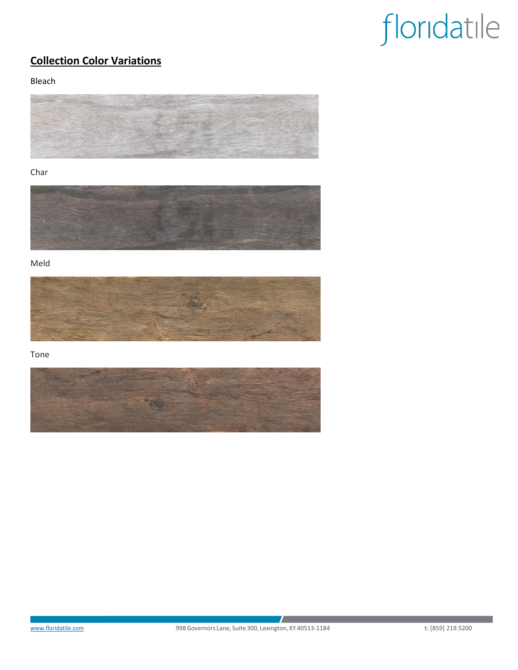### **Collection Color Variations**

Bleach



#### Char



Meld



Tone



 $\mathcal{L}$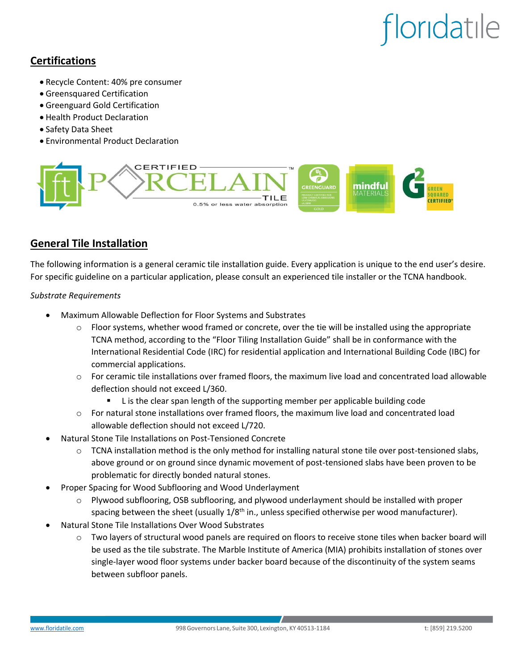### **Certifications**

- Recycle Content: 40% pre consumer
- Greensquared Certification
- Greenguard Gold Certification
- Health Product Declaration
- Safety Data Sheet
- Environmental Product Declaration



### **General Tile Installation**

The following information is a general ceramic tile installation guide. Every application is unique to the end user's desire. For specific guideline on a particular application, please consult an experienced tile installer or the TCNA handbook.

#### *Substrate Requirements*

- Maximum Allowable Deflection for Floor Systems and Substrates
	- $\circ$  Floor systems, whether wood framed or concrete, over the tie will be installed using the appropriate TCNA method, according to the "Floor Tiling Installation Guide" shall be in conformance with the International Residential Code (IRC) for residential application and International Building Code (IBC) for commercial applications.
	- o For ceramic tile installations over framed floors, the maximum live load and concentrated load allowable deflection should not exceed L/360.
		- L is the clear span length of the supporting member per applicable building code
	- o For natural stone installations over framed floors, the maximum live load and concentrated load allowable deflection should not exceed L/720.
- Natural Stone Tile Installations on Post-Tensioned Concrete
	- $\circ$  TCNA installation method is the only method for installing natural stone tile over post-tensioned slabs, above ground or on ground since dynamic movement of post-tensioned slabs have been proven to be problematic for directly bonded natural stones.
- Proper Spacing for Wood Subflooring and Wood Underlayment
	- $\circ$  Plywood subflooring, OSB subflooring, and plywood underlayment should be installed with proper spacing between the sheet (usually 1/8<sup>th</sup> in., unless specified otherwise per wood manufacturer).
- Natural Stone Tile Installations Over Wood Substrates
	- o Two layers of structural wood panels are required on floors to receive stone tiles when backer board will be used as the tile substrate. The Marble Institute of America (MIA) prohibits installation of stones over single-layer wood floor systems under backer board because of the discontinuity of the system seams between subfloor panels.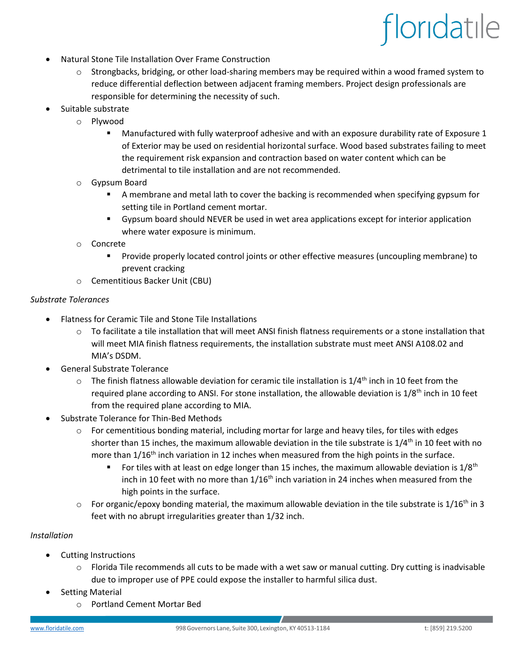- Natural Stone Tile Installation Over Frame Construction
	- o Strongbacks, bridging, or other load-sharing members may be required within a wood framed system to reduce differential deflection between adjacent framing members. Project design professionals are responsible for determining the necessity of such.
	- Suitable substrate
		- o Plywood
			- Manufactured with fully waterproof adhesive and with an exposure durability rate of Exposure 1 of Exterior may be used on residential horizontal surface. Wood based substrates failing to meet the requirement risk expansion and contraction based on water content which can be detrimental to tile installation and are not recommended.
		- o Gypsum Board
			- **EX** A membrane and metal lath to cover the backing is recommended when specifying gypsum for setting tile in Portland cement mortar.
			- Gypsum board should NEVER be used in wet area applications except for interior application where water exposure is minimum.
		- o Concrete
			- Provide properly located control joints or other effective measures (uncoupling membrane) to prevent cracking
		- o Cementitious Backer Unit (CBU)

#### *Substrate Tolerances*

- Flatness for Ceramic Tile and Stone Tile Installations
	- $\circ$  To facilitate a tile installation that will meet ANSI finish flatness requirements or a stone installation that will meet MIA finish flatness requirements, the installation substrate must meet ANSI A108.02 and MIA's DSDM.
- General Substrate Tolerance
	- $\circ$  The finish flatness allowable deviation for ceramic tile installation is 1/4<sup>th</sup> inch in 10 feet from the required plane according to ANSI. For stone installation, the allowable deviation is 1/8<sup>th</sup> inch in 10 feet from the required plane according to MIA.
- Substrate Tolerance for Thin-Bed Methods
	- $\circ$  For cementitious bonding material, including mortar for large and heavy tiles, for tiles with edges shorter than 15 inches, the maximum allowable deviation in the tile substrate is  $1/4$ <sup>th</sup> in 10 feet with no more than  $1/16<sup>th</sup>$  inch variation in 12 inches when measured from the high points in the surface.
		- **•** For tiles with at least on edge longer than 15 inches, the maximum allowable deviation is  $1/8$ <sup>th</sup> inch in 10 feet with no more than  $1/16$ <sup>th</sup> inch variation in 24 inches when measured from the high points in the surface.
	- $\circ$  For organic/epoxy bonding material, the maximum allowable deviation in the tile substrate is 1/16<sup>th</sup> in 3 feet with no abrupt irregularities greater than 1/32 inch.

#### *Installation*

- Cutting Instructions
	- $\circ$  Florida Tile recommends all cuts to be made with a wet saw or manual cutting. Dry cutting is inadvisable due to improper use of PPE could expose the installer to harmful silica dust.
- **Setting Material** 
	- o Portland Cement Mortar Bed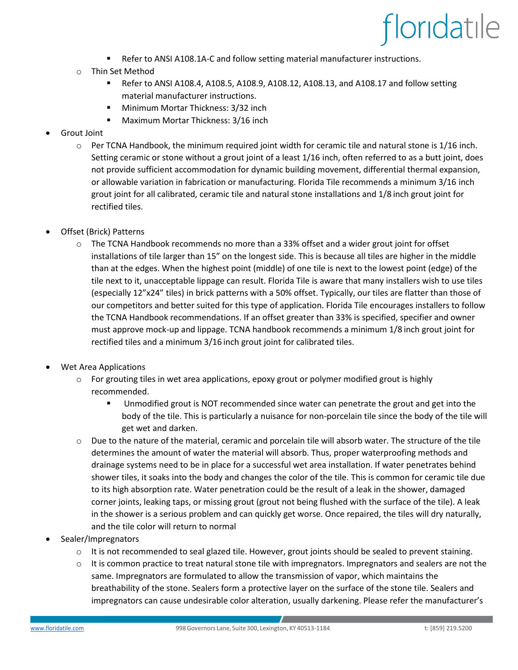- Refer to ANSI A108.1A-C and follow setting material manufacturer instructions.
- o Thin Set Method
	- **■** Refer to ANSI A108.4, A108.5, A108.9, A108.12, A108.13, and A108.17 and follow setting material manufacturer instructions.
	- Minimum Mortar Thickness: 3/32 inch
	- Maximum Mortar Thickness: 3/16 inch
- Grout Joint
	- $\circ$  Per TCNA Handbook, the minimum required joint width for ceramic tile and natural stone is 1/16 inch. Setting ceramic or stone without a grout joint of a least 1/16 inch, often referred to as a butt joint, does not provide sufficient accommodation for dynamic building movement, differential thermal expansion, or allowable variation in fabrication or manufacturing. Florida Tile recommends a minimum 3/16 inch grout joint for all calibrated, ceramic tile and natural stone installations and 1/8 inch grout joint for rectified tiles.
- Offset (Brick) Patterns
	- $\circ$  The TCNA Handbook recommends no more than a 33% offset and a wider grout joint for offset installations of tile larger than 15" on the longest side. This is because all tiles are higher in the middle than at the edges. When the highest point (middle) of one tile is next to the lowest point (edge) of the tile next to it, unacceptable lippage can result. Florida Tile is aware that many installers wish to use tiles (especially 12"x24" tiles) in brick patterns with a 50% offset. Typically, our tiles are flatter than those of our competitors and better suited for this type of application. Florida Tile encourages installers to follow the TCNA Handbook recommendations. If an offset greater than 33% is specified, specifier and owner must approve mock-up and lippage. TCNA handbook recommends a minimum 1/8 inch grout joint for rectified tiles and a minimum 3/16 inch grout joint for calibrated tiles.
- Wet Area Applications
	- $\circ$  For grouting tiles in wet area applications, epoxy grout or polymer modified grout is highly recommended.
		- Unmodified grout is NOT recommended since water can penetrate the grout and get into the body of the tile. This is particularly a nuisance for non-porcelain tile since the body of the tile will get wet and darken.
	- $\circ$  Due to the nature of the material, ceramic and porcelain tile will absorb water. The structure of the tile determines the amount of water the material will absorb. Thus, proper waterproofing methods and drainage systems need to be in place for a successful wet area installation. If water penetrates behind shower tiles, it soaks into the body and changes the color of the tile. This is common for ceramic tile due to its high absorption rate. Water penetration could be the result of a leak in the shower, damaged corner joints, leaking taps, or missing grout (grout not being flushed with the surface of the tile). A leak in the shower is a serious problem and can quickly get worse. Once repaired, the tiles will dry naturally, and the tile color will return to normal
- Sealer/Impregnators
	- $\circ$  It is not recommended to seal glazed tile. However, grout joints should be sealed to prevent staining.
	- $\circ$  It is common practice to treat natural stone tile with impregnators. Impregnators and sealers are not the same. Impregnators are formulated to allow the transmission of vapor, which maintains the breathability of the stone. Sealers form a protective layer on the surface of the stone tile. Sealers and impregnators can cause undesirable color alteration, usually darkening. Please refer the manufacturer's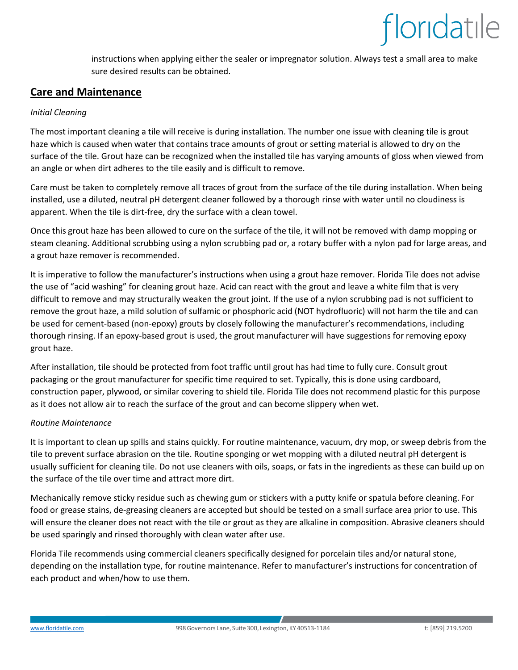instructions when applying either the sealer or impregnator solution. Always test a small area to make sure desired results can be obtained.

### **Care and Maintenance**

#### *Initial Cleaning*

The most important cleaning a tile will receive is during installation. The number one issue with cleaning tile is grout haze which is caused when water that contains trace amounts of grout or setting material is allowed to dry on the surface of the tile. Grout haze can be recognized when the installed tile has varying amounts of gloss when viewed from an angle or when dirt adheres to the tile easily and is difficult to remove.

Care must be taken to completely remove all traces of grout from the surface of the tile during installation. When being installed, use a diluted, neutral pH detergent cleaner followed by a thorough rinse with water until no cloudiness is apparent. When the tile is dirt-free, dry the surface with a clean towel.

Once this grout haze has been allowed to cure on the surface of the tile, it will not be removed with damp mopping or steam cleaning. Additional scrubbing using a nylon scrubbing pad or, a rotary buffer with a nylon pad for large areas, and a grout haze remover is recommended.

It is imperative to follow the manufacturer's instructions when using a grout haze remover. Florida Tile does not advise the use of "acid washing" for cleaning grout haze. Acid can react with the grout and leave a white film that is very difficult to remove and may structurally weaken the grout joint. If the use of a nylon scrubbing pad is not sufficient to remove the grout haze, a mild solution of sulfamic or phosphoric acid (NOT hydrofluoric) will not harm the tile and can be used for cement-based (non-epoxy) grouts by closely following the manufacturer's recommendations, including thorough rinsing. If an epoxy-based grout is used, the grout manufacturer will have suggestions for removing epoxy grout haze.

After installation, tile should be protected from foot traffic until grout has had time to fully cure. Consult grout packaging or the grout manufacturer for specific time required to set. Typically, this is done using cardboard, construction paper, plywood, or similar covering to shield tile. Florida Tile does not recommend plastic for this purpose as it does not allow air to reach the surface of the grout and can become slippery when wet.

#### *Routine Maintenance*

It is important to clean up spills and stains quickly. For routine maintenance, vacuum, dry mop, or sweep debris from the tile to prevent surface abrasion on the tile. Routine sponging or wet mopping with a diluted neutral pH detergent is usually sufficient for cleaning tile. Do not use cleaners with oils, soaps, or fats in the ingredients as these can build up on the surface of the tile over time and attract more dirt.

Mechanically remove sticky residue such as chewing gum or stickers with a putty knife or spatula before cleaning. For food or grease stains, de-greasing cleaners are accepted but should be tested on a small surface area prior to use. This will ensure the cleaner does not react with the tile or grout as they are alkaline in composition. Abrasive cleaners should be used sparingly and rinsed thoroughly with clean water after use.

Florida Tile recommends using commercial cleaners specifically designed for porcelain tiles and/or natural stone, depending on the installation type, for routine maintenance. Refer to manufacturer's instructions for concentration of each product and when/how to use them.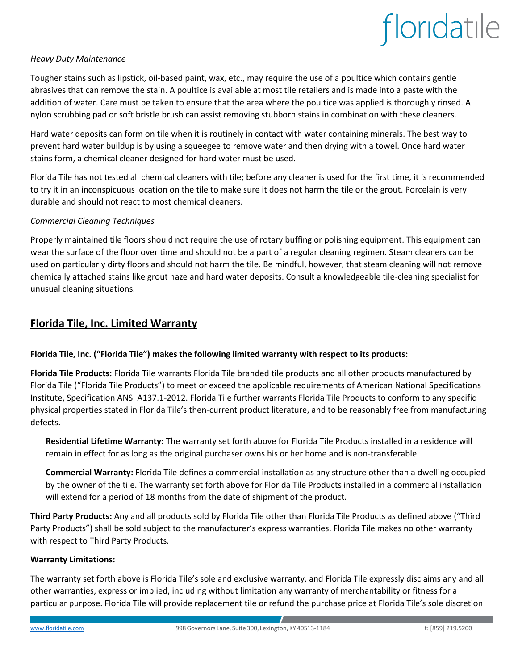#### *Heavy Duty Maintenance*

Tougher stains such as lipstick, oil-based paint, wax, etc., may require the use of a poultice which contains gentle abrasives that can remove the stain. A poultice is available at most tile retailers and is made into a paste with the addition of water. Care must be taken to ensure that the area where the poultice was applied is thoroughly rinsed. A nylon scrubbing pad or soft bristle brush can assist removing stubborn stains in combination with these cleaners.

Hard water deposits can form on tile when it is routinely in contact with water containing minerals. The best way to prevent hard water buildup is by using a squeegee to remove water and then drying with a towel. Once hard water stains form, a chemical cleaner designed for hard water must be used.

Florida Tile has not tested all chemical cleaners with tile; before any cleaner is used for the first time, it is recommended to try it in an inconspicuous location on the tile to make sure it does not harm the tile or the grout. Porcelain is very durable and should not react to most chemical cleaners.

#### *Commercial Cleaning Techniques*

Properly maintained tile floors should not require the use of rotary buffing or polishing equipment. This equipment can wear the surface of the floor over time and should not be a part of a regular cleaning regimen. Steam cleaners can be used on particularly dirty floors and should not harm the tile. Be mindful, however, that steam cleaning will not remove chemically attached stains like grout haze and hard water deposits. Consult a knowledgeable tile-cleaning specialist for unusual cleaning situations.

#### **Florida Tile, Inc. Limited Warranty**

#### **Florida Tile, Inc. ("Florida Tile") makes the following limited warranty with respect to its products:**

**Florida Tile Products:** Florida Tile warrants Florida Tile branded tile products and all other products manufactured by Florida Tile ("Florida Tile Products") to meet or exceed the applicable requirements of American National Specifications Institute, Specification ANSI A137.1-2012. Florida Tile further warrants Florida Tile Products to conform to any specific physical properties stated in Florida Tile's then-current product literature, and to be reasonably free from manufacturing defects.

**Residential Lifetime Warranty:** The warranty set forth above for Florida Tile Products installed in a residence will remain in effect for as long as the original purchaser owns his or her home and is non-transferable.

**Commercial Warranty:** Florida Tile defines a commercial installation as any structure other than a dwelling occupied by the owner of the tile. The warranty set forth above for Florida Tile Products installed in a commercial installation will extend for a period of 18 months from the date of shipment of the product.

**Third Party Products:** Any and all products sold by Florida Tile other than Florida Tile Products as defined above ("Third Party Products") shall be sold subject to the manufacturer's express warranties. Florida Tile makes no other warranty with respect to Third Party Products.

#### **Warranty Limitations:**

The warranty set forth above is Florida Tile's sole and exclusive warranty, and Florida Tile expressly disclaims any and all other warranties, express or implied, including without limitation any warranty of merchantability or fitness for a particular purpose. Florida Tile will provide replacement tile or refund the purchase price at Florida Tile's sole discretion